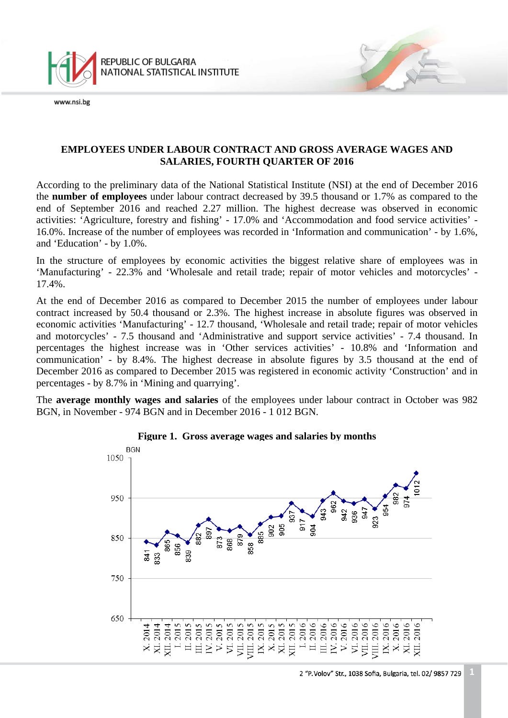

# **EMPLOYEES UNDER LABOUR CONTRACT AND GROSS AVERAGE WAGES AND SALARIES, FOURTH QUARTER OF 2016**

According to the preliminary data of the National Statistical Institute (NSI) at the end of December 2016 the **number of employees** under labour contract decreased by 39.5 thousand or 1.7% as compared to the end of September 2016 and reached 2.27 million. The highest decrease was observed in economic activities: 'Agriculture, forestry and fishing' - 17.0% and 'Accommodation and food service activities' - 16.0%. Increase of the number of employees was recorded in 'Information and communication' - by 1.6%, and 'Education' - by 1.0%.

In the structure of employees by economic activities the biggest relative share of employees was in 'Manufacturing' - 22.3% and 'Wholesale and retail trade; repair of motor vehicles and motorcycles' - 17.4%.

At the end of December 2016 as compared to December 2015 the number of employees under labour contract increased by 50.4 thousand or 2.3%. The highest increase in absolute figures was observed in economic activities 'Manufacturing' - 12.7 thousand, 'Wholesale and retail trade; repair of motor vehicles and motorcycles' - 7.5 thousand and 'Administrative and support service activities' - 7.4 thousand. In percentages the highest increase was in 'Other services activities' - 10.8% and 'Information and communication' - by 8.4%. The highest decrease in absolute figures by 3.5 thousand at the end of December 2016 as compared to December 2015 was registered in economic activity 'Construction' and in percentages - by 8.7% in 'Mining and quarrying'.

The **average monthly wages and salaries** of the employees under labour contract in October was 982 BGN, in November - 974 BGN and in December 2016 - 1 012 BGN.

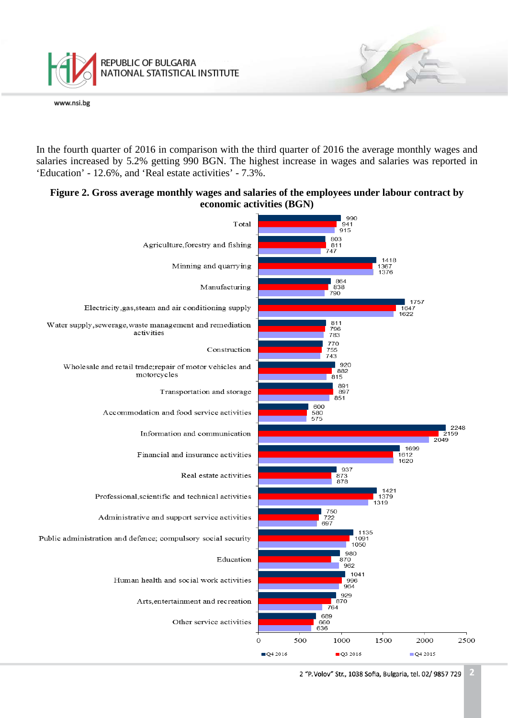

In the fourth quarter of 2016 in comparison with the third quarter of 2016 the average monthly wages and salaries increased by 5.2% getting 990 BGN. The highest increase in wages and salaries was reported in 'Education' - 12.6%, and 'Real estate activities' - 7.3%.

## **Figure 2. Gross average monthly wages and salaries of the employees under labour contract by economic activities (BGN)**



**2** 2 "P. Volov" Str., 1038 Sofia, Bulgaria, tel. 02/ 9857 729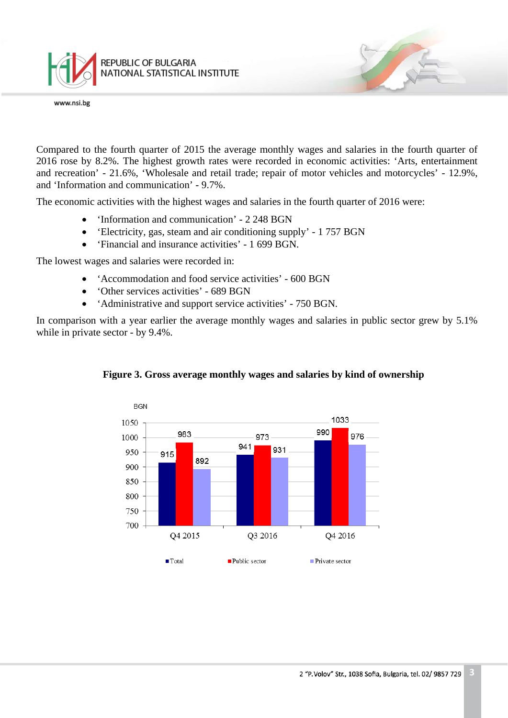

Compared to the fourth quarter of 2015 the average monthly wages and salaries in the fourth quarter of 2016 rose by 8.2%. The highest growth rates were recorded in economic activities: 'Arts, entertainment and recreation' - 21.6%, 'Wholesale and retail trade; repair of motor vehicles and motorcycles' - 12.9%, and 'Information and communication' - 9.7%.

The economic activities with the highest wages and salaries in the fourth quarter of 2016 were:

- 'Information and communication' 2 248 BGN
- 'Electricity, gas, steam and air conditioning supply' 1 757 BGN
- 'Financial and insurance activities' 1 699 BGN.

The lowest wages and salaries were recorded in:

- 'Accommodation and food service activities' 600 BGN
- 'Other services activities' 689 BGN
- 'Administrative and support service activities' 750 BGN.

In comparison with a year earlier the average monthly wages and salaries in public sector grew by 5.1% while in private sector - by 9.4%.



#### **Figure 3. Gross average monthly wages and salaries by kind of ownership**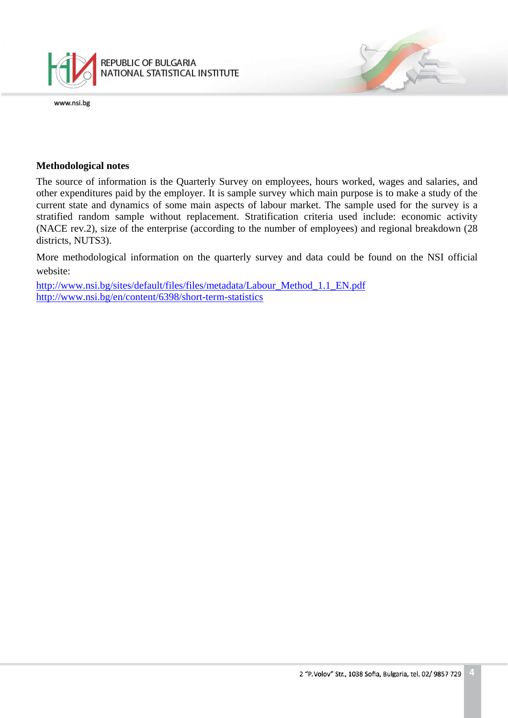

## **Methodological notes**

The source of information is the Quarterly Survey on employees, hours worked, wages and salaries, and other expenditures paid by the employer. It is sample survey which main purpose is to make a study of the current state and dynamics of some main aspects of labour market. The sample used for the survey is a stratified random sample without replacement. Stratification criteria used include: economic activity (NACE rev.2), size of the enterprise (according to the number of employees) and regional breakdown (28 districts, NUTS3).

More methodological information on the quarterly survey and data could be found on the NSI official website:

[http://www.nsi.bg/sites/default/files/files/metadata/Labour\\_Method\\_1.1\\_EN.pdf](http://www.nsi.bg/sites/default/files/files/metadata/Labour_Method_1.1_EN.pdf) <http://www.nsi.bg/en/content/6398/short-term-statistics>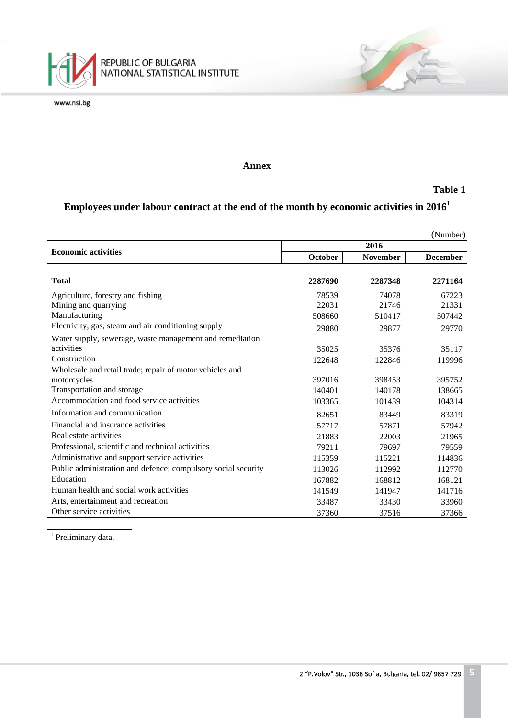

### **Annex**

#### **Table 1**

# **Employees under labour contract at the end of the month by economic activities in 20161**

|                                                               |                |                 | (Number)        |
|---------------------------------------------------------------|----------------|-----------------|-----------------|
| <b>Economic activities</b>                                    | 2016           |                 |                 |
|                                                               | <b>October</b> | <b>November</b> | <b>December</b> |
|                                                               |                |                 |                 |
| <b>Total</b>                                                  | 2287690        | 2287348         | 2271164         |
| Agriculture, forestry and fishing                             | 78539          | 74078           | 67223           |
| Mining and quarrying                                          | 22031          | 21746           | 21331           |
| Manufacturing                                                 | 508660         | 510417          | 507442          |
| Electricity, gas, steam and air conditioning supply           | 29880          | 29877           | 29770           |
| Water supply, sewerage, waste management and remediation      |                |                 |                 |
| activities                                                    | 35025          | 35376           | 35117           |
| Construction                                                  | 122648         | 122846          | 119996          |
| Wholesale and retail trade; repair of motor vehicles and      |                |                 |                 |
| motorcycles                                                   | 397016         | 398453          | 395752          |
| Transportation and storage                                    | 140401         | 140178          | 138665          |
| Accommodation and food service activities                     | 103365         | 101439          | 104314          |
| Information and communication                                 | 82651          | 83449           | 83319           |
| Financial and insurance activities                            | 57717          | 57871           | 57942           |
| Real estate activities                                        | 21883          | 22003           | 21965           |
| Professional, scientific and technical activities             | 79211          | 79697           | 79559           |
| Administrative and support service activities                 | 115359         | 115221          | 114836          |
| Public administration and defence; compulsory social security | 113026         | 112992          | 112770          |
| Education                                                     | 167882         | 168812          | 168121          |
| Human health and social work activities                       | 141549         | 141947          | 141716          |
| Arts, entertainment and recreation                            | 33487          | 33430           | 33960           |
| Other service activities                                      | 37360          | 37516           | 37366           |

<sup>1</sup> Preliminary data.